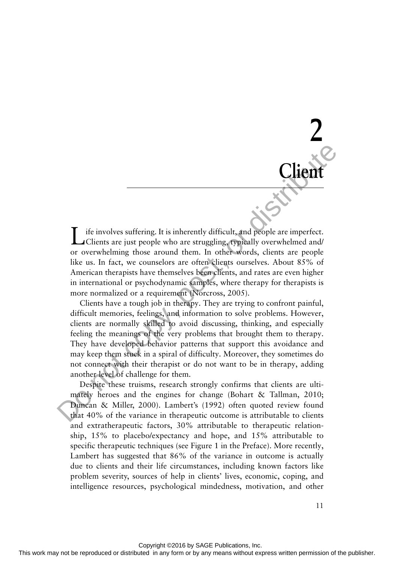Life involves suffering. It is inherently difficult, and people are imperfect. Clients are just people who are struggling, typically overwhelmed and/ or overwhelming those around them. In other words, clients are people like us. In fact, we counselors are often clients ourselves. About 85% of American therapists have themselves been clients, and rates are even higher in international or psychodynamic samples, where therapy for therapists is more normalized or a requirement (Norcross, 2005).

Clients have a tough job in therapy. They are trying to confront painful, difficult memories, feelings, and information to solve problems. However, clients are normally skilled to avoid discussing, thinking, and especially feeling the meanings of the very problems that brought them to therapy. They have developed behavior patterns that support this avoidance and may keep them stuck in a spiral of difficulty. Moreover, they sometimes do not connect with their therapist or do not want to be in therapy, adding another level of challenge for them.

Despite these truisms, research strongly confirms that clients are ultimately heroes and the engines for change (Bohart & Tallman, 2010; Duncan & Miller, 2000). Lambert's (1992) often quoted review found that 40% of the variance in therapeutic outcome is attributable to clients and extratherapeutic factors, 30% attributable to therapeutic relationship, 15% to placebo/expectancy and hope, and 15% attributable to specific therapeutic techniques (see Figure 1 in the Preface). More recently, Lambert has suggested that 86% of the variance in outcome is actually due to clients and their life circumstances, including known factors like problem severity, sources of help in clients' lives, economic, coping, and intelligence resources, psychological mindedness, motivation, and other This involves sufficing, it is inherently difficult and the interesting or or between the may be reproduced in any form or by any means we complete the reproduced in any means we complete the reproduced in an expression o

 **2** 

 **Client**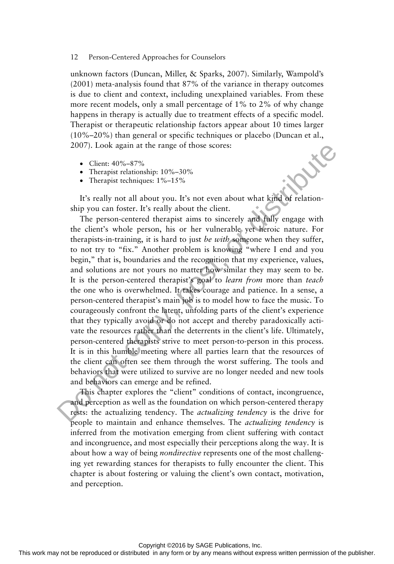unknown factors (Duncan, Miller, & Sparks, 2007). Similarly, Wampold's (2001) meta-analysis found that 87% of the variance in therapy outcomes is due to client and context, including unexplained variables. From these more recent models, only a small percentage of 1% to 2% of why change happens in therapy is actually due to treatment effects of a specific model. Therapist or therapeutic relationship factors appear about 10 times larger (10%–20%) than general or specific techniques or placebo (Duncan et al., 2007). Look again at the range of those scores:

- Client: 40%–87%
- Therapist relationship:  $10\% 30\%$
- Therapist techniques:  $1\% 15\%$

It's really not all about you. It's not even about what kind of relationship you can foster. It's really about the client.

The person-centered therapist aims to sincerely and fully engage with the client's whole person, his or her vulnerable yet heroic nature. For therapists-in-training, it is hard to just *be with* someone when they suffer, to not try to "fix." Another problem is knowing "where I end and you begin," that is, boundaries and the recognition that my experience, values, and solutions are not yours no matter how similar they may seem to be. It is the person-centered therapist's goal to *learn from* more than *teach*  the one who is overwhelmed. It takes courage and patience. In a sense, a person-centered therapist's main job is to model how to face the music. To courageously confront the latent, unfolding parts of the client's experience that they typically avoid or do not accept and thereby paradoxically activate the resources rather than the deterrents in the client's life. Ultimately, person-centered therapists strive to meet person-to-person in this process. It is in this humble meeting where all parties learn that the resources of the client can often see them through the worst suffering. The tools and behaviors that were utilized to survive are no longer needed and new tools and behaviors can emerge and be refined. 2007). Look a gain at the range of those scores:<br>
There per televorship 10%-30%.<br>
The range with the look that with the look that we reproduced in a form or both a final point of the component in a form or both points in

This chapter explores the "client" conditions of contact, incongruence, and perception as well as the foundation on which person-centered therapy rests: the actualizing tendency. The *actualizing tendency* is the drive for people to maintain and enhance themselves. The *actualizing tendency* is inferred from the motivation emerging from client suffering with contact and incongruence, and most especially their perceptions along the way. It is about how a way of being *nondirective* represents one of the most challenging yet rewarding stances for therapists to fully encounter the client. This chapter is about fostering or valuing the client's own contact, motivation, and perception.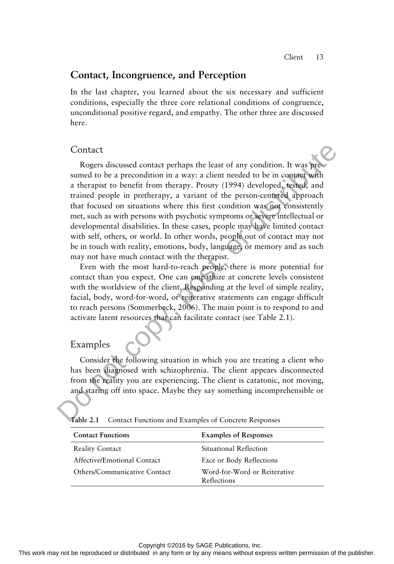## **Contact, Incongruence, and Perception**

In the last chapter, you learned about the six necessary and sufficient conditions, especially the three core relational conditions of congruence, unconditional positive regard, and empathy. The other three are discussed here.

### Contact

Rogers discussed contact perhaps the least of any condition. It was presumed to be a precondition in a way: a client needed to be in contact with a therapist to benefit from therapy. Prouty (1994) developed, tested, and trained people in pretherapy, a variant of the person-centered approach that focused on situations where this first condition was not consistently met, such as with persons with psychotic symptoms or severe intellectual or developmental disabilities. In these cases, people may have limited contact with self, others, or world. In other words, people out of contact may not be in touch with reality, emotions, body, language, or memory and as such may not have much contact with the therapist. Constant may not be repressed or distribution in a way is client needed to be in comes with a hereptis to be<br>needed to be a proceed, a speed with a hereptis or being to be a precise<br>speed, and trained people in precherati

Even with the most hard-to-reach people, there is more potential for contact than you expect. One can empathize at concrete levels consistent with the worldview of the client. Responding at the level of simple reality, facial, body, word-for-word, or reiterative statements can engage difficult to reach persons (Sommerbeck, 2006). The main point is to respond to and activate latent resources that can facilitate contact (see Table 2.1 ).

## Examples

Consider the following situation in which you are treating a client who has been diagnosed with schizophrenia. The client appears disconnected from the reality you are experiencing. The client is catatonic, not moving, and staring off into space. Maybe they say something incomprehensible or

Table 2.1 Contact Functions and Examples of Concrete Responses

| <b>Contact Functions</b>     | <b>Examples of Responses</b>                |
|------------------------------|---------------------------------------------|
| <b>Reality Contact</b>       | Situational Reflection                      |
| Affective/Emotional Contact  | Face or Body Reflections                    |
| Others/Communicative Contact | Word-for-Word or Reiterative<br>Reflections |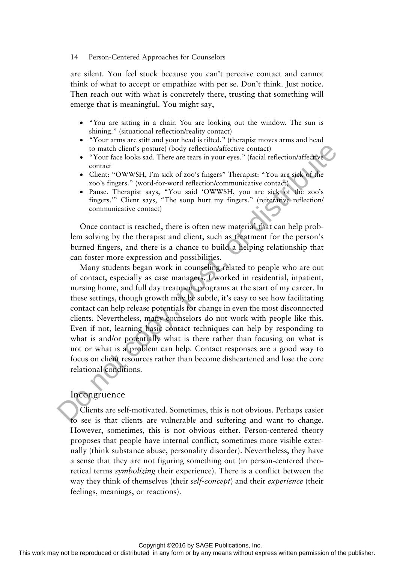are silent. You feel stuck because you can't perceive contact and cannot think of what to accept or empathize with per se. Don't think. Just notice. Then reach out with what is concretely there, trusting that something will emerge that is meaningful. You might say,

- "You are sitting in a chair. You are looking out the window. The sun is shining." (situational reflection/reality contact)
- "Your arms are stiff and your head is tilted." (therapist moves arms and head to match client's posture) (body reflection/affective contact)
- "Your face looks sad. There are tears in your eyes." (facial reflection/affective contact
- Client: "OWWSH, I'm sick of zoo's fingers" Therapist: "You are sick of the zoo's fingers." (word-for-word reflection/communicative contact)
- Pause. Therapist says, "You said 'OWWSH, you are sick of the zoo's fingers.'" Client says, "The soup hurt my fingers." (reiterative reflection/ communicative contact)

Once contact is reached, there is often new material that can help problem solving by the therapist and client, such as treatment for the person's burned fingers, and there is a chance to build a helping relationship that can foster more expression and possibilities.

Many students began work in counseling related to people who are out of contact, especially as case managers. I worked in residential, inpatient, nursing home, and full day treatment programs at the start of my career. In these settings, though growth may be subtle, it's easy to see how facilitating contact can help release potentials for change in even the most disconnected clients. Nevertheless, many counselors do not work with people like this. Even if not, learning basic contact techniques can help by responding to what is and/or potentially what is there rather than focusing on what is not or what is a problem can help. Contact responses are a good way to focus on client resources rather than become disheartened and lose the core relational conditions. The vector of the signal standard in any means when the reproduced or the reproduced or the reproduced or distributed or the reproduced or the reproduced or the reproduced or the reproduced or the publisher. The publisher

### Incongruence

Clients are self-motivated. Sometimes, this is not obvious. Perhaps easier to see is that clients are vulnerable and suffering and want to change. However, sometimes, this is not obvious either. Person-centered theory proposes that people have internal conflict, sometimes more visible externally (think substance abuse, personality disorder). Nevertheless, they have a sense that they are not figuring something out (in person-centered theoretical terms *symbolizing* their experience). There is a conflict between the way they think of themselves (their *self-concept*) and their *experience* (their feelings, meanings, or reactions).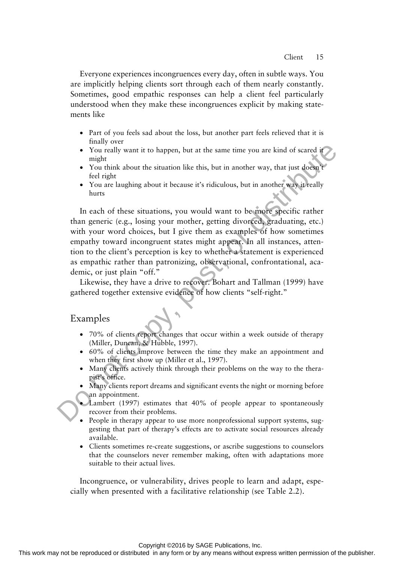Everyone experiences incongruences every day, often in subtle ways. You are implicitly helping clients sort through each of them nearly constantly. Sometimes, good empathic responses can help a client feel particularly understood when they make these incongruences explicit by making statements like

- Part of you feels sad about the loss, but another part feels relieved that it is finally over
- You really want it to happen, but at the same time you are kind of scared it might
- You think about the situation like this, but in another way, that just doesn't feel right
- You are laughing about it because it's ridiculous, but in another way it really hurts

In each of these situations, you would want to be more specific rather than generic (e.g., losing your mother, getting divorced, graduating, etc.) with your word choices, but I give them as examples of how sometimes empathy toward incongruent states might appear. In all instances, attention to the client's perception is key to whether a statement is experienced as empathic rather than patronizing, observational, confrontational, academic, or just plain "off." The may not be reproduced or the reproduced or distributed in any form interaction of the representation of the reproduced in any means when  $\lambda$  the representation of the publisher. The may denote the publisher way, then

Likewise, they have a drive to recover. Bohart and Tallman (1999) have gathered together extensive evidence of how clients "self-right."

### Examples

- 70% of clients report changes that occur within a week outside of therapy (Miller, Duncan, & Hubble, 1997).
- 60% of clients improve between the time they make an appointment and when they first show up (Miller et al., 1997).
- Many clients actively think through their problems on the way to the therapist's office.
- Many clients report dreams and significant events the night or morning before an appointment.
- Lambert (1997) estimates that 40% of people appear to spontaneously recover from their problems.
- People in therapy appear to use more nonprofessional support systems, suggesting that part of therapy's effects are to activate social resources already available.
- Clients sometimes re-create suggestions, or ascribe suggestions to counselors that the counselors never remember making, often with adaptations more suitable to their actual lives.

Incongruence, or vulnerability, drives people to learn and adapt, especially when presented with a facilitative relationship (see Table 2.2).

Copyright ©2016 by SAGE Publications, Inc.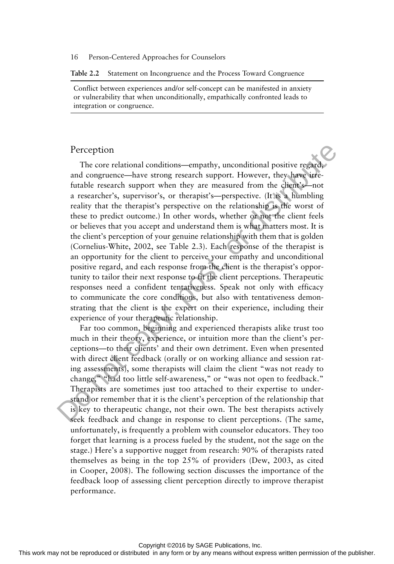#### **Table 2.2** Statement on Incongruence and the Process Toward Congruence

Conflict between experiences and/or self-concept can be manifested in anxiety or vulnerability that when unconditionally, empathically confronted leads to integration or congruence.

### Perception

The core relational conditions—empathy, unconditional positive regard, and congruence—have strong research support. However, they have irrefutable research support when they are measured from the client's—not a researcher's, supervisor's, or therapist's—perspective. (It is a humbling reality that the therapist's perspective on the relationship is the worst of these to predict outcome.) In other words, whether or not the client feels or believes that you accept and understand them is what matters most. It is the client's perception of your genuine relationship with them that is golden (Cornelius-White, 2002, see Table 2.3 ). Each response of the therapist is an opportunity for the client to perceive your empathy and unconditional positive regard, and each response from the client is the therapist's opportunity to tailor their next response to fit the client perceptions. Therapeutic responses need a confident tentativeness. Speak not only with efficacy to communicate the core conditions, but also with tentativeness demonstrating that the client is the expert on their experience, including their experience of your therapeutic relationship.

Far too common, beginning and experienced therapists alike trust too much in their theory, experience, or intuition more than the client's perceptions—to their clients' and their own detriment. Even when presented with direct client feedback (orally or on working alliance and session rating assessments), some therapists will claim the client "was not ready to change," "had too little self-awareness," or "was not open to feedback." Therapists are sometimes just too attached to their expertise to understand or remember that it is the client's perception of the relationship that is key to therapeutic change, not their own. The best therapists actively seek feedback and change in response to client perceptions. (The same, unfortunately, is frequently a problem with counselor educators. They too forget that learning is a process fueled by the student, not the sage on the stage.) Here's a supportive nugget from research: 90% of therapists rated themselves as being in the top 25% of providers (Dew, 2003, as cited in Cooper, 2008). The following section discusses the importance of the feedback loop of assessing client perception directly to improve therapist performance. Perception The orientamal uonditions—empathy, unconditional positive regular-<br>and congrenes—have strong research support. Lowever, they any means<br>the relationship of the particular control and permission permission of<br>a r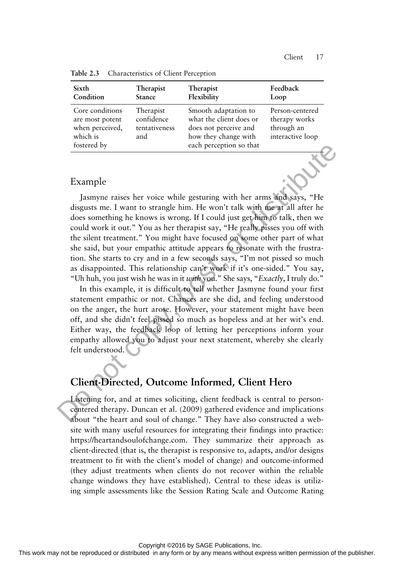| Sixth<br>Feedback<br>Therapist<br><b>Therapist</b><br>Flexibility<br>Condition<br><b>Stance</b><br>Loop<br>Core conditions<br>Smooth adaptation to<br>Person-centered<br>Therapist<br>confidence<br>what the client does or<br>therapy works<br>are most potent<br>through an<br>when perceived,<br>does not perceive and<br>tentativeness<br>which is<br>how they change with<br>interactive loop<br>and<br>each perception so that<br>fostered by |  |  |
|-----------------------------------------------------------------------------------------------------------------------------------------------------------------------------------------------------------------------------------------------------------------------------------------------------------------------------------------------------------------------------------------------------------------------------------------------------|--|--|
|                                                                                                                                                                                                                                                                                                                                                                                                                                                     |  |  |
|                                                                                                                                                                                                                                                                                                                                                                                                                                                     |  |  |

**Table 2.3** Characteristics of Client Perception

### Example

Jasmyne raises her voice while gesturing with her arms and says, "He disgusts me. I want to strangle him. He won't talk with me at all after he does something he knows is wrong. If I could just get him to talk, then we could work it out." You as her therapist say, "He really pisses you off with the silent treatment." You might have focused on some other part of what she said, but your empathic attitude appears to resonate with the frustration. She starts to cry and in a few seconds says, "I'm not pissed so much as disappointed. This relationship can't work if it's one-sided." You say, "Uh huh, you just wish he was in it *with* you." She says, " *Exactly*, I truly do."

In this example, it is difficult to tell whether Jasmyne found your first statement empathic or not. Chances are she did, and feeling understood on the anger, the hurt arose. However, your statement might have been off, and she didn't feel pissed so much as hopeless and at her wit's end. Either way, the feedback loop of letting her perceptions inform your empathy allowed you to adjust your next statement, whereby she clearly felt understood.

# **Client-Directed, Outcome Informed, Client Hero**

Listening for, and at times soliciting, client feedback is central to personcentered therapy. Duncan et al. (2009) gathered evidence and implications about "the heart and soul of change." They have also constructed a website with many useful resources for integrating their findings into practice: https://heartandsoulofchange.com. They summarize their approach as client-directed (that is, the therapist is responsive to, adapts, and/or designs treatment to fit with the client's model of change) and outcome-informed (they adjust treatments when clients do not recover within the reliable change windows they have established). Central to these ideas is utilizing simple assessments like the Session Rating Scale and Outcome Rating The state of the state or distribution or distributed in a state of the representation or the state or distributed in the state or distributed in a state of the state or distributed in the state or distributed in a state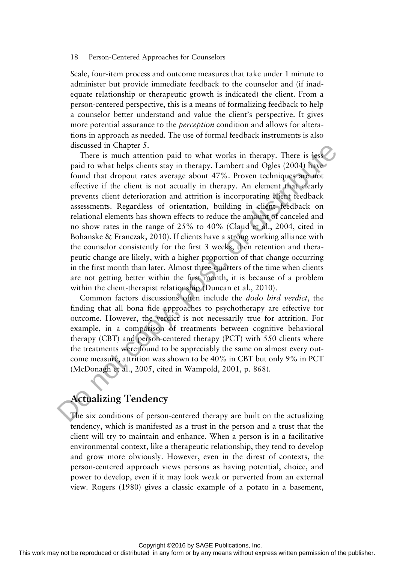Scale, four-item process and outcome measures that take under 1 minute to administer but provide immediate feedback to the counselor and (if inadequate relationship or therapeutic growth is indicated) the client. From a person-centered perspective, this is a means of formalizing feedback to help a counselor better understand and value the client's perspective. It gives more potential assurance to the *perception* condition and allows for alterations in approach as needed. The use of formal feedback instruments is also discussed in Chapter 5.

There is much attention paid to what works in therapy. There is less paid to what helps clients stay in therapy. Lambert and Ogles (2004) have found that dropout rates average about 47%. Proven techniques are not effective if the client is not actually in therapy. An element that clearly prevents client deterioration and attrition is incorporating client feedback assessments. Regardless of orientation, building in client feedback on relational elements has shown effects to reduce the amount of canceled and no show rates in the range of 25% to 40% (Claud et al., 2004, cited in Bohanske & Franczak, 2010). If clients have a strong working alliance with the counselor consistently for the first 3 weeks, then retention and therapeutic change are likely, with a higher proportion of that change occurring in the first month than later. Almost three-quarters of the time when clients are not getting better within the first month, it is because of a problem within the client-therapist relationship (Duncan et al., 2010). If the distribution is a straight or distributed in the reproduced or distributed in which the publisher state state any in the<br>any in any form and Quise 2800 HB and the publisher and Quise 2800 HB<br>place of the control or

Common factors discussions often include the *dodo bird verdict*, the finding that all bona fide approaches to psychotherapy are effective for outcome. However, the verdict is not necessarily true for attrition. For example, in a comparison of treatments between cognitive behavioral therapy (CBT) and person-centered therapy (PCT) with 550 clients where the treatments were found to be appreciably the same on almost every outcome measure, attrition was shown to be 40% in CBT but only 9% in PCT (McDonagh et al., 2005, cited in Wampold, 2001, p. 868).

# **Actualizing Tendency**

The six conditions of person-centered therapy are built on the actualizing tendency, which is manifested as a trust in the person and a trust that the client will try to maintain and enhance. When a person is in a facilitative environmental context, like a therapeutic relationship, they tend to develop and grow more obviously. However, even in the direst of contexts, the person-centered approach views persons as having potential, choice, and power to develop, even if it may look weak or perverted from an external view. Rogers (1980) gives a classic example of a potato in a basement,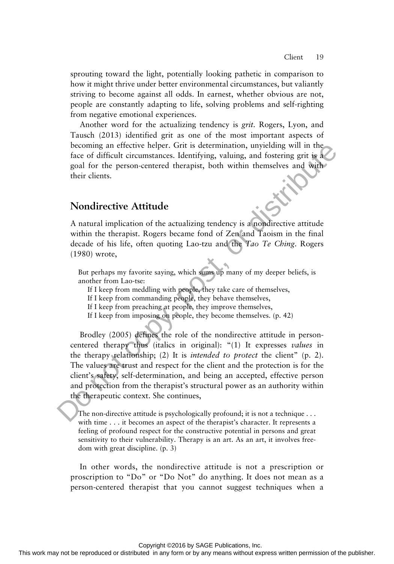sprouting toward the light, potentially looking pathetic in comparison to how it might thrive under better environmental circumstances, but valiantly striving to become against all odds. In earnest, whether obvious are not, people are constantly adapting to life, solving problems and self-righting from negative emotional experiences.

Another word for the actualizing tendency is *grit.* Rogers, Lyon, and Tausch (2013) identified grit as one of the most important aspects of becoming an effective helper. Grit is determination, unyielding will in the face of difficult circumstances. Identifying, valuing, and fostering grit is a goal for the person-centered therapist, both within themselves and with their clients.

## **Nondirective Attitude**

A natural implication of the actualizing tendency is a nondirective attitude within the therapist. Rogers became fond of Zen and Taoism in the final decade of his life, often quoting Lao-tzu and the *Tao Te Ching*. Rogers (1980) wrote,

But perhaps my favorite saying, which sums up many of my deeper beliefs, is another from Lao-tse:

If I keep from meddling with people, they take care of themselves,

If I keep from commanding people, they behave themselves,

If I keep from preaching at people, they improve themselves,

If I keep from imposing on people, they become themselves. (p. 42)

Brodley (2005) defines the role of the nondirective attitude in personcentered therapy thus (italics in original): "(1) It expresses *values* in the therapy relationship; (2) It is *intended to protect* the client" (p. 2). The values are trust and respect for the client and the protection is for the client's safety, self-determination, and being an accepted, effective person and protection from the therapist's structural power as an authority within the therapeutic context. She continues, From the procedure or distributed in an express with the publisher way in an interesting permission of the permi-centered therapist, both within the<br>molecules and higher the rights permission of the publisher of the publi

The non-directive attitude is psychologically profound; it is not a technique . . . with time . . . it becomes an aspect of the therapist's character. It represents a feeling of profound respect for the constructive potential in persons and great sensitivity to their vulnerability. Therapy is an art. As an art, it involves freedom with great discipline. (p. 3)

In other words, the nondirective attitude is not a prescription or proscription to "Do" or "Do Not" do anything. It does not mean as a person-centered therapist that you cannot suggest techniques when a

Copyright ©2016 by SAGE Publications, Inc.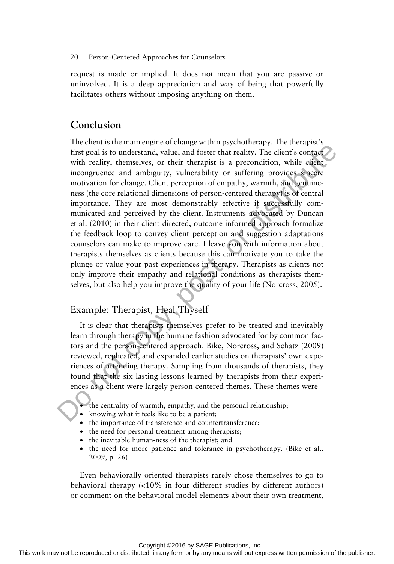request is made or implied. It does not mean that you are passive or uninvolved. It is a deep appreciation and way of being that powerfully facilitates others without imposing anything on them.

## **Conclusion**

The client is the main engine of change within psychotherapy. The therapist's first goal is to understand, value, and foster that reality. The client's contact with reality, themselves, or their therapist is a precondition, while client incongruence and ambiguity, vulnerability or suffering provides sincere motivation for change. Client perception of empathy, warmth, and genuineness (the core relational dimensions of person-centered therapy) is of central importance. They are most demonstrably effective if successfully communicated and perceived by the client. Instruments advocated by Duncan et al. (2010) in their client-directed, outcome-informed approach formalize the feedback loop to convey client perception and suggestion adaptations counselors can make to improve care. I leave you with information about therapists themselves as clients because this can motivate you to take the plunge or value your past experiences in therapy. Therapists as clients not only improve their empathy and relational conditions as therapists themselves, but also help you improve the quality of your life (Norcross, 2005). For goal is to meet the reproduced or distributed in any form of the relative confirmed in any means we reproduced in any means with control in any means with control in any means with control in any means we reproduce in

# Example: Therapist, Heal Thyself

It is clear that therapists themselves prefer to be treated and inevitably learn through therapy in the humane fashion advocated for by common factors and the person-centered approach. Bike, Norcross, and Schatz (2009) reviewed, replicated, and expanded earlier studies on therapists' own experiences of attending therapy. Sampling from thousands of therapists, they found that the six lasting lessons learned by therapists from their experiences as a client were largely person-centered themes. These themes were

- the centrality of warmth, empathy, and the personal relationship;
- knowing what it feels like to be a patient;
- the importance of transference and countertransference;
- the need for personal treatment among therapists;
- the inevitable human-ness of the therapist; and
- the need for more patience and tolerance in psychotherapy. (Bike et al., 2009, p. 26)

Even behaviorally oriented therapists rarely chose themselves to go to behavioral therapy (<10% in four different studies by different authors) or comment on the behavioral model elements about their own treatment,

Copyright ©2016 by SAGE Publications, Inc.